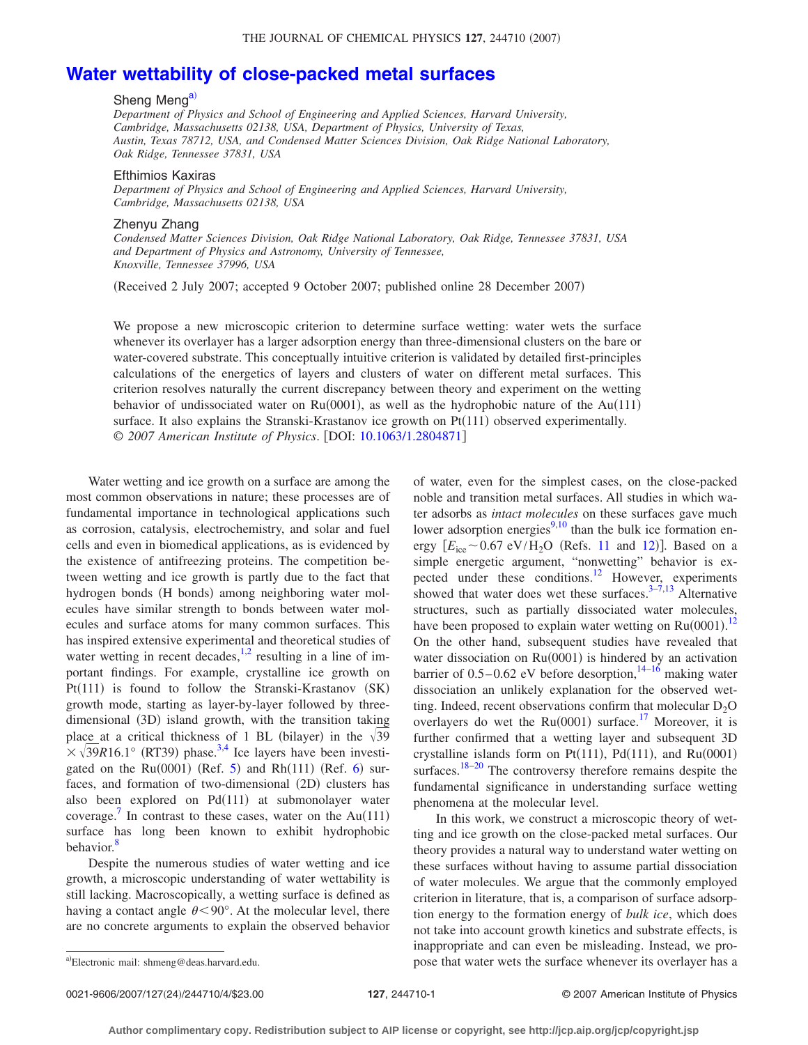## **[Water wettability of close-packed metal surfaces](http://dx.doi.org/10.1063/1.2804871)**

## Sheng Meng<sup>a)</sup>

*Department of Physics and School of Engineering and Applied Sciences, Harvard University, Cambridge, Massachusetts 02138, USA, Department of Physics, University of Texas, Austin, Texas 78712, USA, and Condensed Matter Sciences Division, Oak Ridge National Laboratory, Oak Ridge, Tennessee 37831, USA*

## Efthimios Kaxiras

*Department of Physics and School of Engineering and Applied Sciences, Harvard University, Cambridge, Massachusetts 02138, USA*

## Zhenyu Zhang

*Condensed Matter Sciences Division, Oak Ridge National Laboratory, Oak Ridge, Tennessee 37831, USA and Department of Physics and Astronomy, University of Tennessee, Knoxville, Tennessee 37996, USA*

Received 2 July 2007; accepted 9 October 2007; published online 28 December 2007-

We propose a new microscopic criterion to determine surface wetting: water wets the surface whenever its overlayer has a larger adsorption energy than three-dimensional clusters on the bare or water-covered substrate. This conceptually intuitive criterion is validated by detailed first-principles calculations of the energetics of layers and clusters of water on different metal surfaces. This criterion resolves naturally the current discrepancy between theory and experiment on the wetting behavior of undissociated water on  $Ru(0001)$ , as well as the hydrophobic nature of the Au(111) surface. It also explains the Stranski-Krastanov ice growth on Pt(111) observed experimentally. © *2007 American Institute of Physics*. DOI: [10.1063/1.2804871](http://dx.doi.org/10.1063/1.2804871)

Water wetting and ice growth on a surface are among the most common observations in nature; these processes are of fundamental importance in technological applications such as corrosion, catalysis, electrochemistry, and solar and fuel cells and even in biomedical applications, as is evidenced by the existence of antifreezing proteins. The competition between wetting and ice growth is partly due to the fact that hydrogen bonds (H bonds) among neighboring water molecules have similar strength to bonds between water molecules and surface atoms for many common surfaces. This has inspired extensive experimental and theoretical studies of water wetting in recent decades,  $^{1,2}$  $^{1,2}$  $^{1,2}$  resulting in a line of important findings. For example, crystalline ice growth on Pt(111) is found to follow the Stranski-Krastanov (SK) growth mode, starting as layer-by-layer followed by threedimensional (3D) island growth, with the transition taking place at a critical thickness of 1 BL (bilayer) in the  $\sqrt{39}$  $\times \sqrt{39R}16.1^\circ$  (RT39) phase.<sup>3,[4](#page-3-3)</sup> Ice layers have been investigated on the  $Ru(0001)$  (Ref. [5](#page-3-4)) and Rh $(111)$  (Ref. [6](#page-3-5)) surfaces, and formation of two-dimensional (2D) clusters has also been explored on Pd(111) at submonolayer water coverage.<sup>[7](#page-3-6)</sup> In contrast to these cases, water on the Au(111) surface has long been known to exhibit hydrophobic behavior.<sup>8</sup>

Despite the numerous studies of water wetting and ice growth, a microscopic understanding of water wettability is still lacking. Macroscopically, a wetting surface is defined as having a contact angle  $\theta$ <90°. At the molecular level, there are no concrete arguments to explain the observed behavior of water, even for the simplest cases, on the close-packed noble and transition metal surfaces. All studies in which water adsorbs as *intact molecules* on these surfaces gave much lower adsorption energies $9,10$  $9,10$  than the bulk ice formation energy  $\left[E_{\text{ice}} \sim 0.67 \text{ eV}/\text{H}_2\text{O} \text{ (Refs. 11 and 12)}\right]$  $\left[E_{\text{ice}} \sim 0.67 \text{ eV}/\text{H}_2\text{O} \text{ (Refs. 11 and 12)}\right]$  $\left[E_{\text{ice}} \sim 0.67 \text{ eV}/\text{H}_2\text{O} \text{ (Refs. 11 and 12)}\right]$  $\left[E_{\text{ice}} \sim 0.67 \text{ eV}/\text{H}_2\text{O} \text{ (Refs. 11 and 12)}\right]$  $\left[E_{\text{ice}} \sim 0.67 \text{ eV}/\text{H}_2\text{O} \text{ (Refs. 11 and 12)}\right]$ . Based on a simple energetic argument, "nonwetting" behavior is expected under these conditions.<sup>12</sup> However, experiments showed that water does wet these surfaces. $3-7,13$  $3-7,13$  $3-7,13$  Alternative structures, such as partially dissociated water molecules, have been proposed to explain water wetting on  $Ru(0001).$ <sup>[12](#page-3-11)</sup> On the other hand, subsequent studies have revealed that water dissociation on Ru(0001) is hindered by an activation barrier of  $0.5-0.62$  eV before desorption,  $14-16$  $14-16$  making water dissociation an unlikely explanation for the observed wetting. Indeed, recent observations confirm that molecular  $D_2O$ overlayers do wet the  $Ru(0001)$  surface.<sup>17</sup> Moreover, it is further confirmed that a wetting layer and subsequent 3D crystalline islands form on Pt $(111)$ , Pd $(111)$ , and Ru $(0001)$ surfaces. $18-20$  The controversy therefore remains despite the fundamental significance in understanding surface wetting phenomena at the molecular level.

In this work, we construct a microscopic theory of wetting and ice growth on the close-packed metal surfaces. Our theory provides a natural way to understand water wetting on these surfaces without having to assume partial dissociation of water molecules. We argue that the commonly employed criterion in literature, that is, a comparison of surface adsorption energy to the formation energy of *bulk ice*, which does not take into account growth kinetics and substrate effects, is inappropriate and can even be misleading. Instead, we propose that water wets the surface whenever its overlayer has a <sup>a</sup>-

<span id="page-0-0"></span>Electronic mail: shmeng@deas.harvard.edu.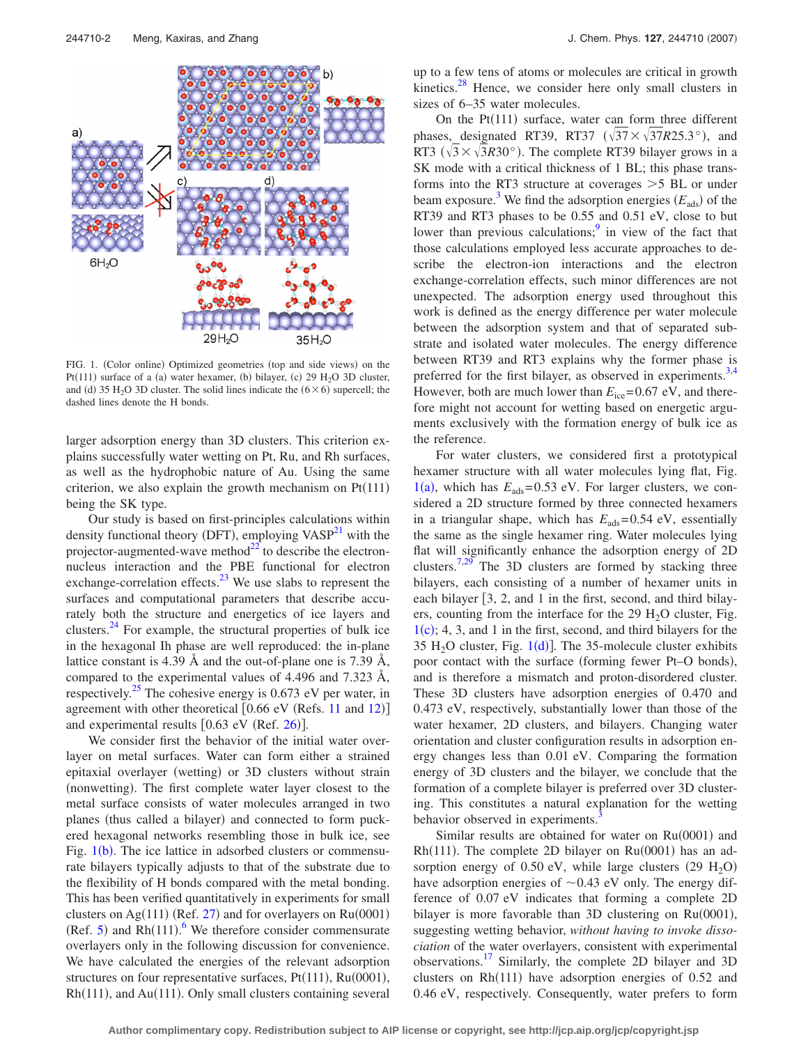<span id="page-1-0"></span>

FIG. 1. (Color online) Optimized geometries (top and side views) on the Pt(111) surface of a (a) water hexamer, (b) bilayer, (c) 29  $H_2O$  3D cluster, and (d) 35 H<sub>2</sub>O 3D cluster. The solid lines indicate the  $(6 \times 6)$  supercell; the dashed lines denote the H bonds.

larger adsorption energy than 3D clusters. This criterion explains successfully water wetting on Pt, Ru, and Rh surfaces, as well as the hydrophobic nature of Au. Using the same criterion, we also explain the growth mechanism on  $Pt(111)$ being the SK type.

Our study is based on first-principles calculations within density functional theory (DFT), employing  $VASP^{21}$  with the projector-augmented-wave method $^{22}$  to describe the electronnucleus interaction and the PBE functional for electron exchange-correlation effects. $^{23}$  We use slabs to represent the surfaces and computational parameters that describe accurately both the structure and energetics of ice layers and clusters. $^{24}$  For example, the structural properties of bulk ice in the hexagonal Ih phase are well reproduced: the in-plane lattice constant is 4.39 Å and the out-of-plane one is 7.39 Å, compared to the experimental values of 4.496 and 7.323 Å, respectively.<sup>25</sup> The cohesive energy is  $0.673$  eV per water, in agreement with other theoretical  $[0.66 \text{ eV}$  (Refs. [11](#page-3-10) and [12](#page-3-11))] and experimental results  $[0.63 \text{ eV} \text{ (Ref. 26)}]$  $[0.63 \text{ eV} \text{ (Ref. 26)}]$  $[0.63 \text{ eV} \text{ (Ref. 26)}]$ .

We consider first the behavior of the initial water overlayer on metal surfaces. Water can form either a strained epitaxial overlayer (wetting) or 3D clusters without strain (nonwetting). The first complete water layer closest to the metal surface consists of water molecules arranged in two planes (thus called a bilayer) and connected to form puckered hexagonal networks resembling those in bulk ice, see Fig.  $1(b)$  $1(b)$ . The ice lattice in adsorbed clusters or commensurate bilayers typically adjusts to that of the substrate due to the flexibility of H bonds compared with the metal bonding. This has been verified quantitatively in experiments for small clusters on Ag(111) (Ref. [27](#page-3-23)) and for overlayers on  $Ru(0001)$ (Ref. [5](#page-3-4)) and  $Rh(111)$ . We therefore consider commensurate overlayers only in the following discussion for convenience. We have calculated the energies of the relevant adsorption structures on four representative surfaces,  $Pt(111)$ ,  $Ru(0001)$ , Rh(111), and Au(111). Only small clusters containing several

up to a few tens of atoms or molecules are critical in growth kinetics. $28$  Hence, we consider here only small clusters in sizes of 6–35 water molecules.

On the  $Pt(111)$  surface, water can form three different phases, designated RT39, RT37  $(\sqrt{37} \times \sqrt{37}R25.3^{\circ})$ , and RT3  $(\sqrt{3} \times \sqrt{3}R30^\circ)$ . The complete RT39 bilayer grows in a SK mode with a critical thickness of 1 BL; this phase transforms into the RT3 structure at coverages  $>5$  BL or under beam exposure.<sup>3</sup> We find the adsorption energies  $(E_{ads})$  of the RT39 and RT3 phases to be 0.55 and 0.51 eV, close to but lower than previous calculations; $\frac{9}{2}$  in view of the fact that those calculations employed less accurate approaches to describe the electron-ion interactions and the electron exchange-correlation effects, such minor differences are not unexpected. The adsorption energy used throughout this work is defined as the energy difference per water molecule between the adsorption system and that of separated substrate and isolated water molecules. The energy difference between RT39 and RT3 explains why the former phase is preferred for the first bilayer, as observed in experiments.<sup>3[,4](#page-3-3)</sup> However, both are much lower than  $E_{ice} = 0.67 \text{ eV}$ , and therefore might not account for wetting based on energetic arguments exclusively with the formation energy of bulk ice as the reference.

For water clusters, we considered first a prototypical hexamer structure with all water molecules lying flat, Fig.  $1(a)$  $1(a)$ , which has  $E_{ads} = 0.53$  eV. For larger clusters, we considered a 2D structure formed by three connected hexamers in a triangular shape, which has  $E_{ads} = 0.54$  eV, essentially the same as the single hexamer ring. Water molecules lying flat will significantly enhance the adsorption energy of 2D clusters.<sup>7,[29](#page-3-25)</sup> The 3D clusters are formed by stacking three bilayers, each consisting of a number of hexamer units in each bilayer  $\lceil 3, 2, \text{ and } 1 \rceil$  in the first, second, and third bilayers, counting from the interface for the  $29 H<sub>2</sub>O$  cluster, Fig.  $1(c)$  $1(c)$ ; 4, 3, and 1 in the first, second, and third bilayers for the 35 H<sub>2</sub>O cluster, Fig.  $1(d)$  $1(d)$ ]. The 35-molecule cluster exhibits poor contact with the surface (forming fewer Pt-O bonds), and is therefore a mismatch and proton-disordered cluster. These 3D clusters have adsorption energies of 0.470 and 0.473 eV, respectively, substantially lower than those of the water hexamer, 2D clusters, and bilayers. Changing water orientation and cluster configuration results in adsorption energy changes less than 0.01 eV. Comparing the formation energy of 3D clusters and the bilayer, we conclude that the formation of a complete bilayer is preferred over 3D clustering. This constitutes a natural explanation for the wetting behavior observed in experiments.

Similar results are obtained for water on Ru(0001) and Rh(111). The complete 2D bilayer on Ru(0001) has an adsorption energy of  $0.50$  eV, while large clusters (29  $H_2O$ ) have adsorption energies of  $\sim 0.43$  eV only. The energy difference of 0.07 eV indicates that forming a complete 2D bilayer is more favorable than  $3D$  clustering on  $Ru(0001)$ , suggesting wetting behavior, *without having to invoke dissociation* of the water overlayers, consistent with experimental observations[.17](#page-3-4) Similarly, the complete 2D bilayer and 3D clusters on  $Rh(111)$  have adsorption energies of 0.52 and 0.46 eV, respectively. Consequently, water prefers to form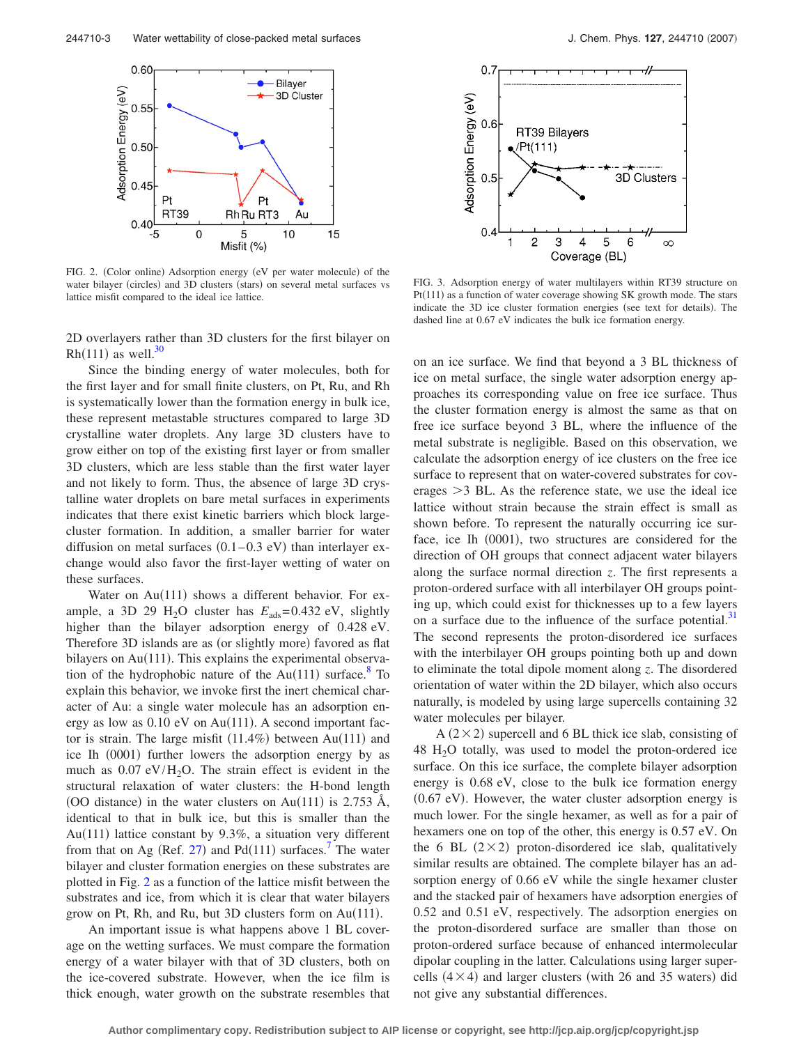<span id="page-2-0"></span>

FIG. 2. (Color online) Adsorption energy (eV per water molecule) of the water bilayer (circles) and 3D clusters (stars) on several metal surfaces vs lattice misfit compared to the ideal ice lattice.

2D overlayers rather than 3D clusters for the first bilayer on Rh(111) as well.<sup>30</sup>

Since the binding energy of water molecules, both for the first layer and for small finite clusters, on Pt, Ru, and Rh is systematically lower than the formation energy in bulk ice, these represent metastable structures compared to large 3D crystalline water droplets. Any large 3D clusters have to grow either on top of the existing first layer or from smaller 3D clusters, which are less stable than the first water layer and not likely to form. Thus, the absence of large 3D crystalline water droplets on bare metal surfaces in experiments indicates that there exist kinetic barriers which block largecluster formation. In addition, a smaller barrier for water diffusion on metal surfaces  $(0.1-0.3 \text{ eV})$  than interlayer exchange would also favor the first-layer wetting of water on these surfaces.

Water on  $Au(111)$  shows a different behavior. For example, a 3D 29 H<sub>2</sub>O cluster has  $E_{ads} = 0.432$  eV, slightly higher than the bilayer adsorption energy of 0.428 eV. Therefore 3D islands are as (or slightly more) favored as flat bilayers on Au(111). This explains the experimental observation of the hydrophobic nature of the  $Au(111)$  surface.<sup>8</sup> To explain this behavior, we invoke first the inert chemical character of Au: a single water molecule has an adsorption energy as low as 0.10 eV on Au(111). A second important factor is strain. The large misfit  $(11.4\%)$  between Au $(111)$  and ice Ih (0001) further lowers the adsorption energy by as much as  $0.07 \text{ eV/H}_2\text{O}$ . The strain effect is evident in the structural relaxation of water clusters: the H-bond length (OO distance) in the water clusters on Au(111) is 2.753 Å, identical to that in bulk ice, but this is smaller than the Au(111) lattice constant by 9.3%, a situation very different from that on Ag (Ref. [27](#page-3-23)) and Pd(111) surfaces.<sup>7</sup> The water bilayer and cluster formation energies on these substrates are plotted in Fig. [2](#page-2-0) as a function of the lattice misfit between the substrates and ice, from which it is clear that water bilayers grow on Pt, Rh, and Ru, but 3D clusters form on Au(111).

An important issue is what happens above 1 BL coverage on the wetting surfaces. We must compare the formation energy of a water bilayer with that of 3D clusters, both on the ice-covered substrate. However, when the ice film is thick enough, water growth on the substrate resembles that

<span id="page-2-1"></span>

FIG. 3. Adsorption energy of water multilayers within RT39 structure on Pt(111) as a function of water coverage showing SK growth mode. The stars indicate the 3D ice cluster formation energies (see text for details). The dashed line at 0.67 eV indicates the bulk ice formation energy.

on an ice surface. We find that beyond a 3 BL thickness of ice on metal surface, the single water adsorption energy approaches its corresponding value on free ice surface. Thus the cluster formation energy is almost the same as that on free ice surface beyond 3 BL, where the influence of the metal substrate is negligible. Based on this observation, we calculate the adsorption energy of ice clusters on the free ice surface to represent that on water-covered substrates for coverages  $>3$  BL. As the reference state, we use the ideal ice lattice without strain because the strain effect is small as shown before. To represent the naturally occurring ice surface, ice Ih (0001), two structures are considered for the direction of OH groups that connect adjacent water bilayers along the surface normal direction *z*. The first represents a proton-ordered surface with all interbilayer OH groups pointing up, which could exist for thicknesses up to a few layers on a surface due to the influence of the surface potential.<sup>31</sup> The second represents the proton-disordered ice surfaces with the interbilayer OH groups pointing both up and down to eliminate the total dipole moment along *z*. The disordered orientation of water within the 2D bilayer, which also occurs naturally, is modeled by using large supercells containing 32 water molecules per bilayer.

 $A(2\times2)$  supercell and 6 BL thick ice slab, consisting of  $48$  H<sub>2</sub>O totally, was used to model the proton-ordered ice surface. On this ice surface, the complete bilayer adsorption energy is 0.68 eV, close to the bulk ice formation energy (0.67 eV). However, the water cluster adsorption energy is much lower. For the single hexamer, as well as for a pair of hexamers one on top of the other, this energy is 0.57 eV. On the 6 BL  $(2 \times 2)$  proton-disordered ice slab, qualitatively similar results are obtained. The complete bilayer has an adsorption energy of 0.66 eV while the single hexamer cluster and the stacked pair of hexamers have adsorption energies of 0.52 and 0.51 eV, respectively. The adsorption energies on the proton-disordered surface are smaller than those on proton-ordered surface because of enhanced intermolecular dipolar coupling in the latter. Calculations using larger supercells  $(4 \times 4)$  and larger clusters (with 26 and 35 waters) did not give any substantial differences.